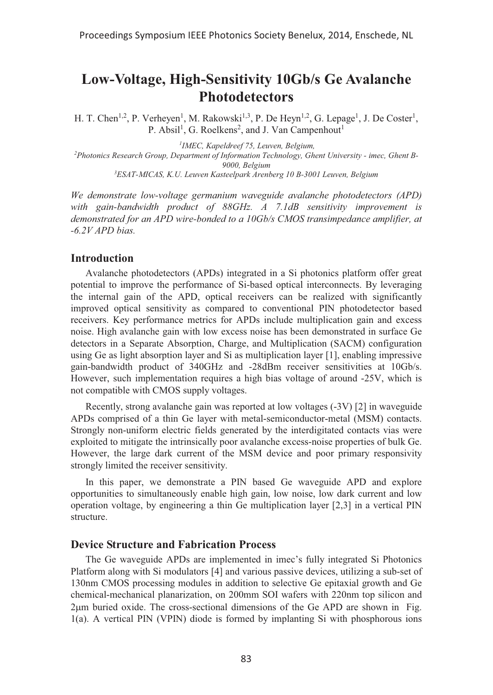# **Low-Voltage, High-Sensitivity 10Gb/s Ge Avalanche Photodetectors**

H. T. Chen<sup>1,2</sup>, P. Verheyen<sup>1</sup>, M. Rakowski<sup>1,3</sup>, P. De Heyn<sup>1,2</sup>, G. Lepage<sup>1</sup>, J. De Coster<sup>1</sup>, P. Absil<sup>1</sup>, G. Roelkens<sup>2</sup>, and J. Van Campenhout<sup>1</sup>

<sup>1</sup>IMEC, Kapeldreef 75, Leuven, Belgium,

*IMEC, Kapeldreef 75, Leuven, Belgium, 2 Photonics Research Group, Department of Information Technology, Ghent University - imec, Ghent B-9000, Belgium 3 ESAT-MICAS, K.U. Leuven Kasteelpark Arenberg 10 B-3001 Leuven, Belgium* 

*We demonstrate low-voltage germanium waveguide avalanche photodetectors (APD) with gain-bandwidth product of 88GHz. A 7.1dB sensitivity improvement is demonstrated for an APD wire-bonded to a 10Gb/s CMOS transimpedance amplifier, at -6.2V APD bias.* 

#### **Introduction**

Avalanche photodetectors (APDs) integrated in a Si photonics platform offer great potential to improve the performance of Si-based optical interconnects. By leveraging the internal gain of the APD, optical receivers can be realized with significantly improved optical sensitivity as compared to conventional PIN photodetector based receivers. Key performance metrics for APDs include multiplication gain and excess noise. High avalanche gain with low excess noise has been demonstrated in surface Ge detectors in a Separate Absorption, Charge, and Multiplication (SACM) configuration using Ge as light absorption layer and Si as multiplication layer [1], enabling impressive gain-bandwidth product of 340GHz and -28dBm receiver sensitivities at 10Gb/s. However, such implementation requires a high bias voltage of around -25V, which is not compatible with CMOS supply voltages.

Recently, strong avalanche gain was reported at low voltages (-3V) [2] in waveguide APDs comprised of a thin Ge layer with metal-semiconductor-metal (MSM) contacts. Strongly non-uniform electric fields generated by the interdigitated contacts vias were exploited to mitigate the intrinsically poor avalanche excess-noise properties of bulk Ge. However, the large dark current of the MSM device and poor primary responsivity strongly limited the receiver sensitivity.

In this paper, we demonstrate a PIN based Ge waveguide APD and explore opportunities to simultaneously enable high gain, low noise, low dark current and low operation voltage, by engineering a thin Ge multiplication layer [2,3] in a vertical PIN structure.

## **Device Structure and Fabrication Process**

The Ge waveguide APDs are implemented in imec's fully integrated Si Photonics Platform along with Si modulators [4] and various passive devices, utilizing a sub-set of 130nm CMOS processing modules in addition to selective Ge epitaxial growth and Ge chemical-mechanical planarization, on 200mm SOI wafers with 220nm top silicon and 2µm buried oxide. The cross-sectional dimensions of the Ge APD are shown in Fig. 1(a). A vertical PIN (VPIN) diode is formed by implanting Si with phosphorous ions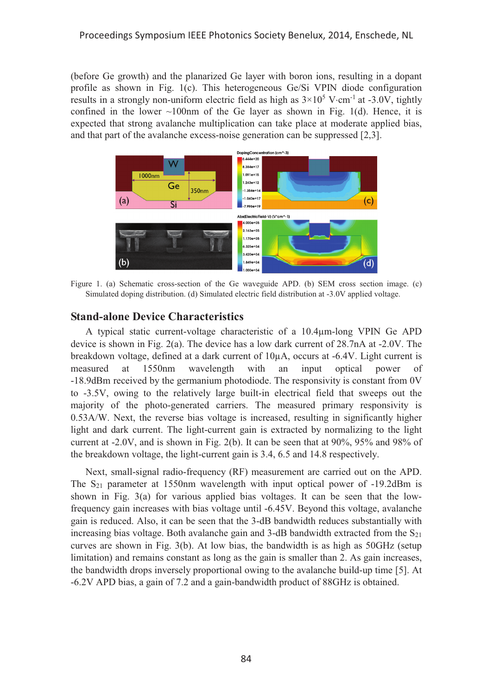(before Ge growth) and the planarized Ge layer with boron ions, resulting in a dopant profile as shown in Fig. 1(c). This heterogeneous Ge/Si VPIN diode configuration results in a strongly non-uniform electric field as high as  $3\times10^5$  V $cm^{-1}$  at -3.0V, tightly confined in the lower  $\sim 100$ nm of the Ge layer as shown in Fig. 1(d). Hence, it is expected that strong avalanche multiplication can take place at moderate applied bias, and that part of the avalanche excess-noise generation can be suppressed [2,3].



Figure 1. (a) Schematic cross-section of the Ge waveguide APD. (b) SEM cross section image. (c) Simulated doping distribution. (d) Simulated electric field distribution at -3.0V applied voltage.

#### **Stand-alone Device Characteristics**

A typical static current-voltage characteristic of a 10.4μm-long VPIN Ge APD device is shown in Fig. 2(a). The device has a low dark current of 28.7nA at -2.0V. The breakdown voltage, defined at a dark current of  $10\mu$ A, occurs at -6.4V. Light current is measured at 1550nm wavelength with an input optical power of -18.9dBm received by the germanium photodiode. The responsivity is constant from 0V to -3.5V, owing to the relatively large built-in electrical field that sweeps out the majority of the photo-generated carriers. The measured primary responsivity is 0.53A/W. Next, the reverse bias voltage is increased, resulting in significantly higher light and dark current. The light-current gain is extracted by normalizing to the light current at  $-2.0V$ , and is shown in Fig. 2(b). It can be seen that at 90%, 95% and 98% of the breakdown voltage, the light-current gain is 3.4, 6.5 and 14.8 respectively.

Next, small-signal radio-frequency (RF) measurement are carried out on the APD. The S21 parameter at 1550nm wavelength with input optical power of -19.2dBm is shown in Fig. 3(a) for various applied bias voltages. It can be seen that the lowfrequency gain increases with bias voltage until -6.45V. Beyond this voltage, avalanche gain is reduced. Also, it can be seen that the 3-dB bandwidth reduces substantially with increasing bias voltage. Both avalanche gain and 3-dB bandwidth extracted from the  $S_{21}$ curves are shown in Fig. 3(b). At low bias, the bandwidth is as high as 50GHz (setup limitation) and remains constant as long as the gain is smaller than 2. As gain increases, the bandwidth drops inversely proportional owing to the avalanche build-up time [5]. At -6.2V APD bias, a gain of 7.2 and a gain-bandwidth product of 88GHz is obtained.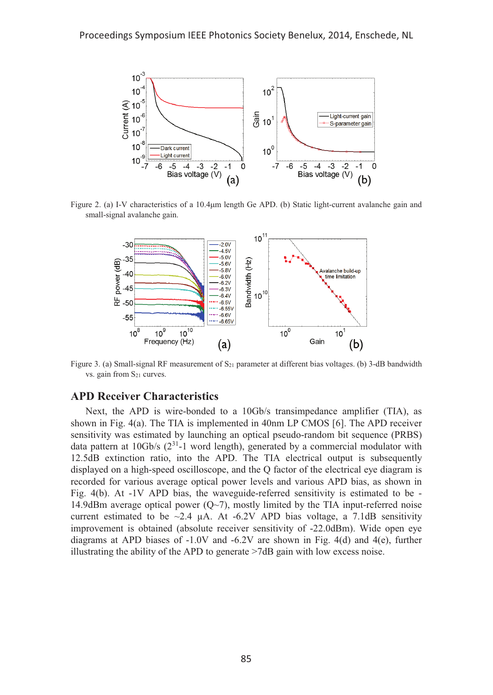

Figure 2. (a) I-V characteristics of a 10.4µm length Ge APD. (b) Static light-current avalanche gain and small-signal avalanche gain.



Figure 3. (a) Small-signal RF measurement of  $S_{21}$  parameter at different bias voltages. (b) 3-dB bandwidth vs. gain from  $S_{21}$  curves.

## **APD Receiver Characteristics**

Next, the APD is wire-bonded to a 10Gb/s transimpedance amplifier (TIA), as shown in Fig. 4(a). The TIA is implemented in 40nm LP CMOS [6]. The APD receiver sensitivity was estimated by launching an optical pseudo-random bit sequence (PRBS) data pattern at 10Gb/s  $(2^{31}$ -1 word length), generated by a commercial modulator with 12.5dB extinction ratio, into the APD. The TIA electrical output is subsequently displayed on a high-speed oscilloscope, and the Q factor of the electrical eye diagram is recorded for various average optical power levels and various APD bias, as shown in Fig. 4(b). At -1V APD bias, the waveguide-referred sensitivity is estimated to be - 14.9dBm average optical power  $(Q~7)$ , mostly limited by the TIA input-referred noise current estimated to be  $\sim$ 2.4 μA. At -6.2V APD bias voltage, a 7.1dB sensitivity improvement is obtained (absolute receiver sensitivity of -22.0dBm). Wide open eye diagrams at APD biases of  $-1.0V$  and  $-6.2V$  are shown in Fig. 4(d) and 4(e), further illustrating the ability of the APD to generate >7dB gain with low excess noise.